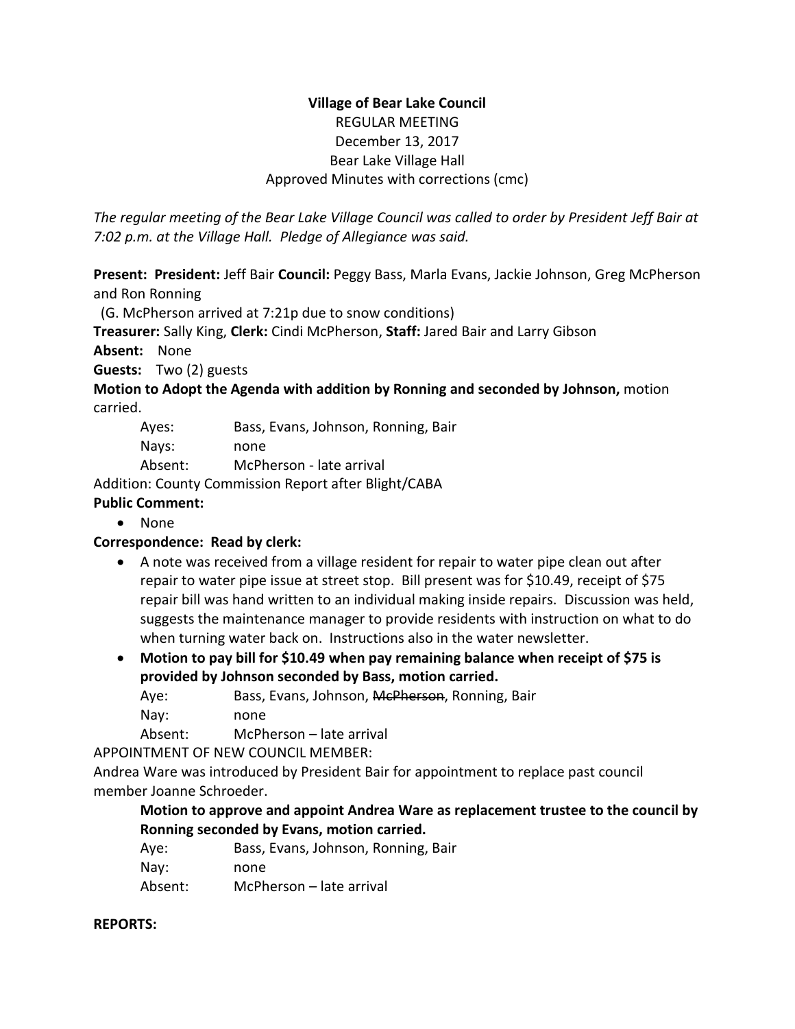## **Village of Bear Lake Council** REGULAR MEETING December 13, 2017 Bear Lake Village Hall Approved Minutes with corrections (cmc)

*The regular meeting of the Bear Lake Village Council was called to order by President Jeff Bair at 7:02 p.m. at the Village Hall. Pledge of Allegiance was said.*

**Present: President:** Jeff Bair **Council:** Peggy Bass, Marla Evans, Jackie Johnson, Greg McPherson and Ron Ronning

(G. McPherson arrived at 7:21p due to snow conditions)

**Treasurer:** Sally King, **Clerk:** Cindi McPherson, **Staff:** Jared Bair and Larry Gibson

**Absent:** None

**Guests:** Two (2) guests

**Motion to Adopt the Agenda with addition by Ronning and seconded by Johnson,** motion carried.

| Ayes:   | Bass, Evans, Johnson, Ronning, Bair |
|---------|-------------------------------------|
| Nays:   | none                                |
| Absent: | McPherson - late arrival            |

Addition: County Commission Report after Blight/CABA

## **Public Comment:**

• None

# **Correspondence: Read by clerk:**

- A note was received from a village resident for repair to water pipe clean out after repair to water pipe issue at street stop. Bill present was for \$10.49, receipt of \$75 repair bill was hand written to an individual making inside repairs. Discussion was held, suggests the maintenance manager to provide residents with instruction on what to do when turning water back on. Instructions also in the water newsletter.
- **Motion to pay bill for \$10.49 when pay remaining balance when receipt of \$75 is provided by Johnson seconded by Bass, motion carried.**

Aye: Bass, Evans, Johnson, McPherson, Ronning, Bair Nay: none

Absent: McPherson – late arrival

APPOINTMENT OF NEW COUNCIL MEMBER:

Andrea Ware was introduced by President Bair for appointment to replace past council member Joanne Schroeder.

## **Motion to approve and appoint Andrea Ware as replacement trustee to the council by Ronning seconded by Evans, motion carried.**

| Ave:    | Bass, Evans, Johnson, Ronning, Bair |
|---------|-------------------------------------|
| Nay:    | none                                |
| Absent: | McPherson – late arrival            |

## **REPORTS:**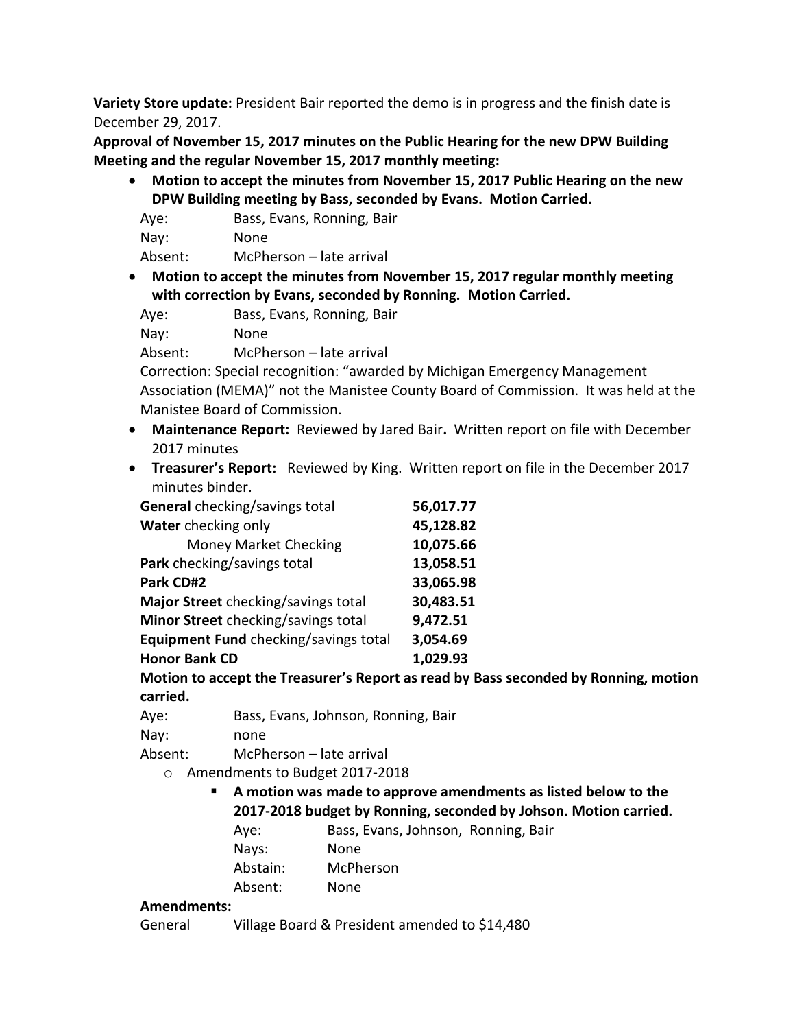**Variety Store update:** President Bair reported the demo is in progress and the finish date is December 29, 2017.

**Approval of November 15, 2017 minutes on the Public Hearing for the new DPW Building Meeting and the regular November 15, 2017 monthly meeting:**

• **Motion to accept the minutes from November 15, 2017 Public Hearing on the new DPW Building meeting by Bass, seconded by Evans. Motion Carried.**

| Aye:    | Bass, Evans, Ronning, Bair |
|---------|----------------------------|
| Nay:    | None                       |
| Absent: | McPherson – late arrival   |

• **Motion to accept the minutes from November 15, 2017 regular monthly meeting with correction by Evans, seconded by Ronning. Motion Carried.**

| Aye: | Bass, Evans, Ronning, Bair |
|------|----------------------------|
| Nay: | None                       |

Absent: McPherson – late arrival

Correction: Special recognition: "awarded by Michigan Emergency Management Association (MEMA)" not the Manistee County Board of Commission. It was held at the Manistee Board of Commission.

- **Maintenance Report:** Reviewed by Jared Bair**.** Written report on file with December 2017 minutes
- **Treasurer's Report:** Reviewed by King. Written report on file in the December 2017 minutes binder.

| General checking/savings total        | 56,017.77 |
|---------------------------------------|-----------|
| Water checking only                   | 45,128.82 |
| <b>Money Market Checking</b>          | 10,075.66 |
| Park checking/savings total           | 13,058.51 |
| Park CD#2                             | 33,065.98 |
| Major Street checking/savings total   | 30,483.51 |
| Minor Street checking/savings total   | 9,472.51  |
| Equipment Fund checking/savings total | 3,054.69  |
| <b>Honor Bank CD</b>                  | 1,029.93  |

**Motion to accept the Treasurer's Report as read by Bass seconded by Ronning, motion carried.**

Aye: Bass, Evans, Johnson, Ronning, Bair

Nay: none

Absent: McPherson – late arrival

- o Amendments to Budget 2017-2018
	- **A motion was made to approve amendments as listed below to the 2017-2018 budget by Ronning, seconded by Johson. Motion carried.**
		- Aye: Bass, Evans, Johnson, Ronning, Bair
		- Nays: None
		- Abstain: McPherson
		- Absent: None

# **Amendments:**

General Village Board & President amended to \$14,480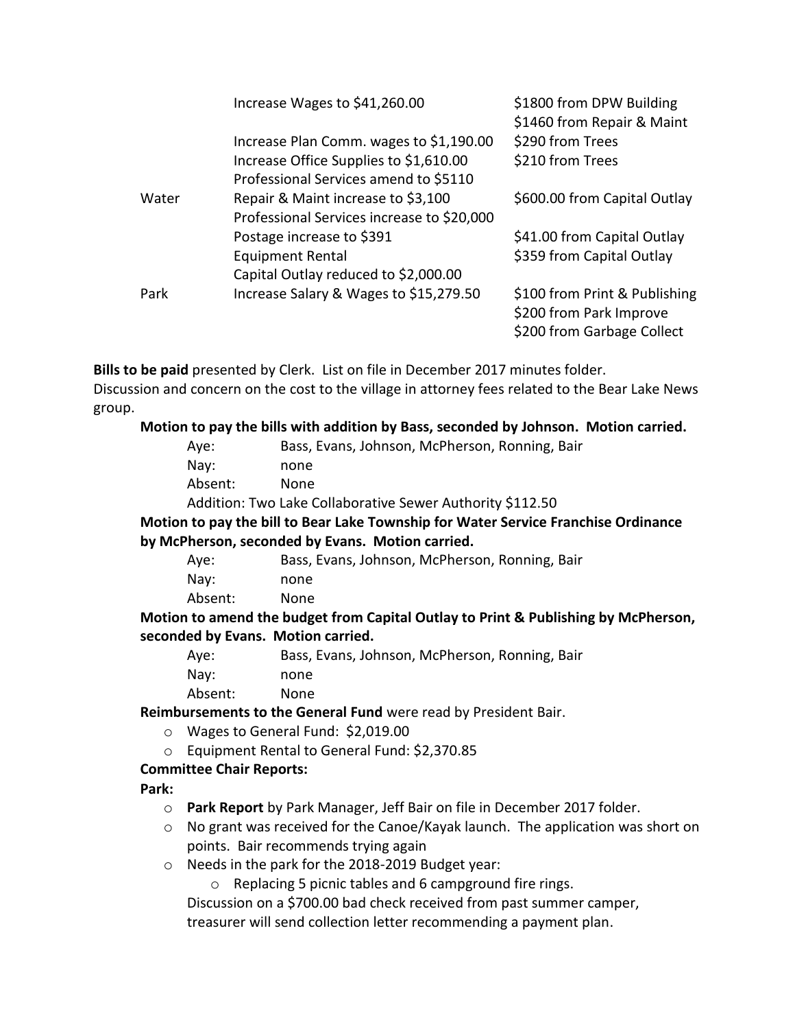|       | Increase Wages to \$41,260.00              | \$1800 from DPW Building<br>\$1460 from Repair & Maint |
|-------|--------------------------------------------|--------------------------------------------------------|
|       | Increase Plan Comm. wages to \$1,190.00    | \$290 from Trees                                       |
|       | Increase Office Supplies to \$1,610.00     | \$210 from Trees                                       |
|       | Professional Services amend to \$5110      |                                                        |
| Water | Repair & Maint increase to \$3,100         | \$600.00 from Capital Outlay                           |
|       | Professional Services increase to \$20,000 |                                                        |
|       | Postage increase to \$391                  | \$41.00 from Capital Outlay                            |
|       | <b>Equipment Rental</b>                    | \$359 from Capital Outlay                              |
|       | Capital Outlay reduced to \$2,000.00       |                                                        |
| Park  | Increase Salary & Wages to \$15,279.50     | \$100 from Print & Publishing                          |
|       |                                            | \$200 from Park Improve                                |
|       |                                            | \$200 from Garbage Collect                             |

**Bills to be paid** presented by Clerk. List on file in December 2017 minutes folder.

Discussion and concern on the cost to the village in attorney fees related to the Bear Lake News group.

#### **Motion to pay the bills with addition by Bass, seconded by Johnson. Motion carried.**

- Aye: Bass, Evans, Johnson, McPherson, Ronning, Bair Nay: none
- Absent: None

Addition: Two Lake Collaborative Sewer Authority \$112.50

**Motion to pay the bill to Bear Lake Township for Water Service Franchise Ordinance by McPherson, seconded by Evans. Motion carried.**

| Aye:    | Bass, Evans, Johnson, McPherson, Ronning, Bair |
|---------|------------------------------------------------|
| Nav:    | none                                           |
| Absent: | None                                           |

**Motion to amend the budget from Capital Outlay to Print & Publishing by McPherson, seconded by Evans. Motion carried.**

| Aye:    | Bass, Evans, Johnson, McPherson, Ronning, Bair |
|---------|------------------------------------------------|
| Nav:    | none                                           |
| Absent: | None.                                          |

**Reimbursements to the General Fund** were read by President Bair.

- o Wages to General Fund: \$2,019.00
- o Equipment Rental to General Fund: \$2,370.85

## **Committee Chair Reports:**

**Park:** 

- o **Park Report** by Park Manager, Jeff Bair on file in December 2017 folder.
- $\circ$  No grant was received for the Canoe/Kayak launch. The application was short on points. Bair recommends trying again
- o Needs in the park for the 2018-2019 Budget year:

o Replacing 5 picnic tables and 6 campground fire rings.

Discussion on a \$700.00 bad check received from past summer camper, treasurer will send collection letter recommending a payment plan.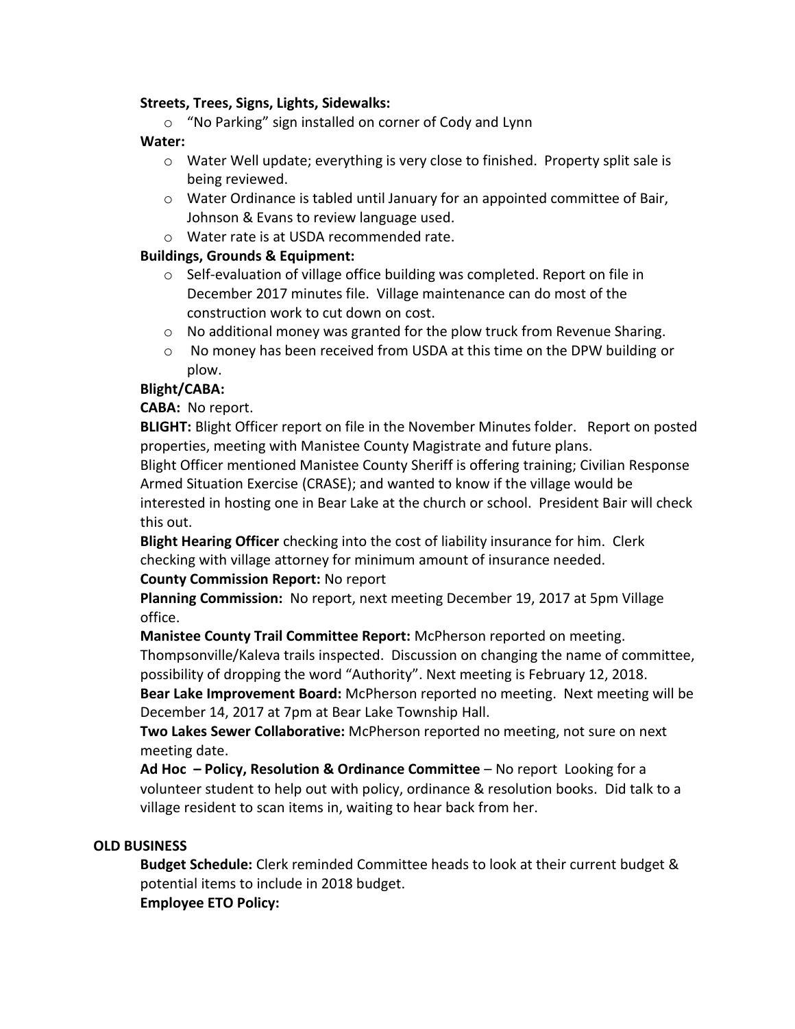#### **Streets, Trees, Signs, Lights, Sidewalks:**

o "No Parking" sign installed on corner of Cody and Lynn

#### **Water:**

- $\circ$  Water Well update; everything is very close to finished. Property split sale is being reviewed.
- o Water Ordinance is tabled until January for an appointed committee of Bair, Johnson & Evans to review language used.
- o Water rate is at USDA recommended rate.

## **Buildings, Grounds & Equipment:**

- o Self-evaluation of village office building was completed. Report on file in December 2017 minutes file. Village maintenance can do most of the construction work to cut down on cost.
- $\circ$  No additional money was granted for the plow truck from Revenue Sharing.
- o No money has been received from USDA at this time on the DPW building or plow.

### **Blight/CABA:**

## **CABA:** No report.

**BLIGHT:** Blight Officer report on file in the November Minutes folder. Report on posted properties, meeting with Manistee County Magistrate and future plans.

Blight Officer mentioned Manistee County Sheriff is offering training; Civilian Response Armed Situation Exercise (CRASE); and wanted to know if the village would be interested in hosting one in Bear Lake at the church or school. President Bair will check this out.

**Blight Hearing Officer** checking into the cost of liability insurance for him. Clerk checking with village attorney for minimum amount of insurance needed.

#### **County Commission Report:** No report

**Planning Commission:** No report, next meeting December 19, 2017 at 5pm Village office.

**Manistee County Trail Committee Report:** McPherson reported on meeting.

Thompsonville/Kaleva trails inspected. Discussion on changing the name of committee, possibility of dropping the word "Authority". Next meeting is February 12, 2018.

**Bear Lake Improvement Board:** McPherson reported no meeting. Next meeting will be December 14, 2017 at 7pm at Bear Lake Township Hall.

**Two Lakes Sewer Collaborative:** McPherson reported no meeting, not sure on next meeting date.

**Ad Hoc – Policy, Resolution & Ordinance Committee** – No report Looking for a volunteer student to help out with policy, ordinance & resolution books. Did talk to a village resident to scan items in, waiting to hear back from her.

#### **OLD BUSINESS**

**Budget Schedule:** Clerk reminded Committee heads to look at their current budget & potential items to include in 2018 budget. **Employee ETO Policy:**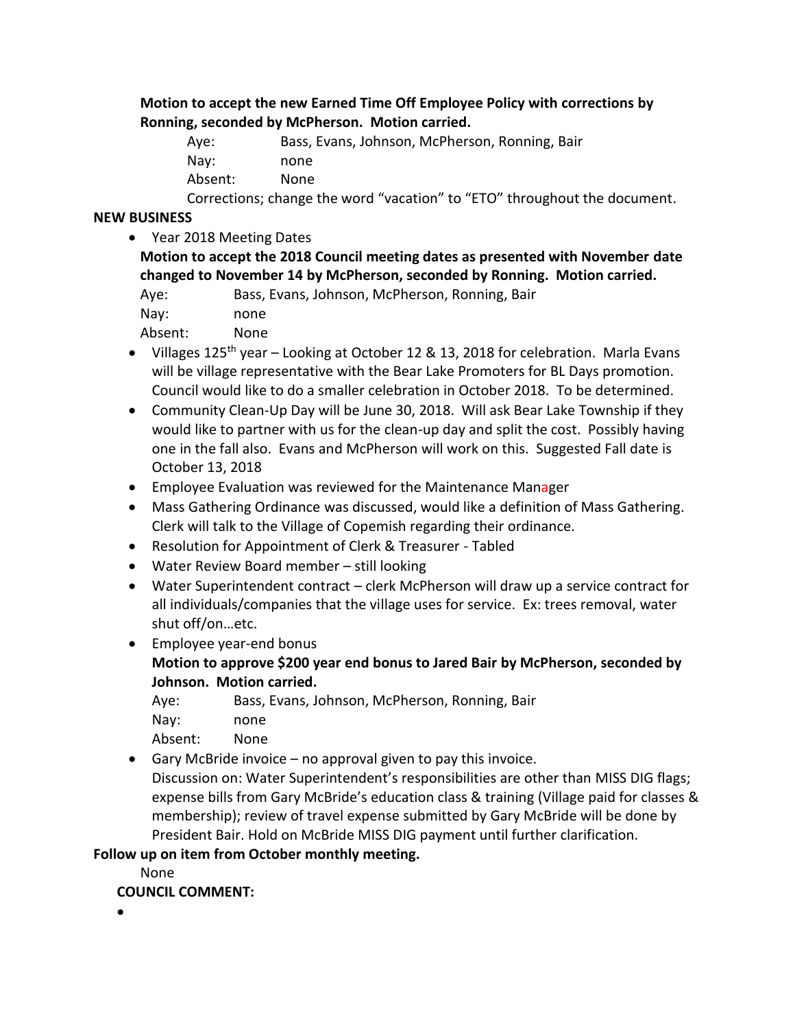**Motion to accept the new Earned Time Off Employee Policy with corrections by Ronning, seconded by McPherson. Motion carried.**

| Ave:    | Bass, Evans, Johnson, McPherson, Ronning, Bair                            |
|---------|---------------------------------------------------------------------------|
| Nav:    | none                                                                      |
| Absent: | None.                                                                     |
|         | Corrections; change the word "vacation" to "ETO" throughout the document. |

#### **NEW BUSINESS**

• Year 2018 Meeting Dates

**Motion to accept the 2018 Council meeting dates as presented with November date changed to November 14 by McPherson, seconded by Ronning. Motion carried.** Aye: Bass, Evans, Johnson, McPherson, Ronning, Bair

| ryc.       | $Du$ , Lvan, |
|------------|--------------|
| Nay:       | none         |
| $A$ hoowt. | <b>Nano</b>  |

Absent: None

- Villages 125<sup>th</sup> year Looking at October 12 & 13, 2018 for celebration. Marla Evans will be village representative with the Bear Lake Promoters for BL Days promotion. Council would like to do a smaller celebration in October 2018. To be determined.
- Community Clean-Up Day will be June 30, 2018. Will ask Bear Lake Township if they would like to partner with us for the clean-up day and split the cost. Possibly having one in the fall also. Evans and McPherson will work on this. Suggested Fall date is October 13, 2018
- Employee Evaluation was reviewed for the Maintenance Manager
- Mass Gathering Ordinance was discussed, would like a definition of Mass Gathering. Clerk will talk to the Village of Copemish regarding their ordinance.
- Resolution for Appointment of Clerk & Treasurer Tabled
- Water Review Board member still looking
- Water Superintendent contract clerk McPherson will draw up a service contract for all individuals/companies that the village uses for service. Ex: trees removal, water shut off/on…etc.
- Employee year-end bonus **Motion to approve \$200 year end bonus to Jared Bair by McPherson, seconded by Johnson. Motion carried.**

|  | Bass, Evans, Johnson, McPherson, Ronning, Bair | Aye: |
|--|------------------------------------------------|------|
|--|------------------------------------------------|------|

Nay: none

Absent: None

• Gary McBride invoice – no approval given to pay this invoice. Discussion on: Water Superintendent's responsibilities are other than MISS DIG flags; expense bills from Gary McBride's education class & training (Village paid for classes & membership); review of travel expense submitted by Gary McBride will be done by President Bair. Hold on McBride MISS DIG payment until further clarification.

## **Follow up on item from October monthly meeting.**

None

## **COUNCIL COMMENT:**

•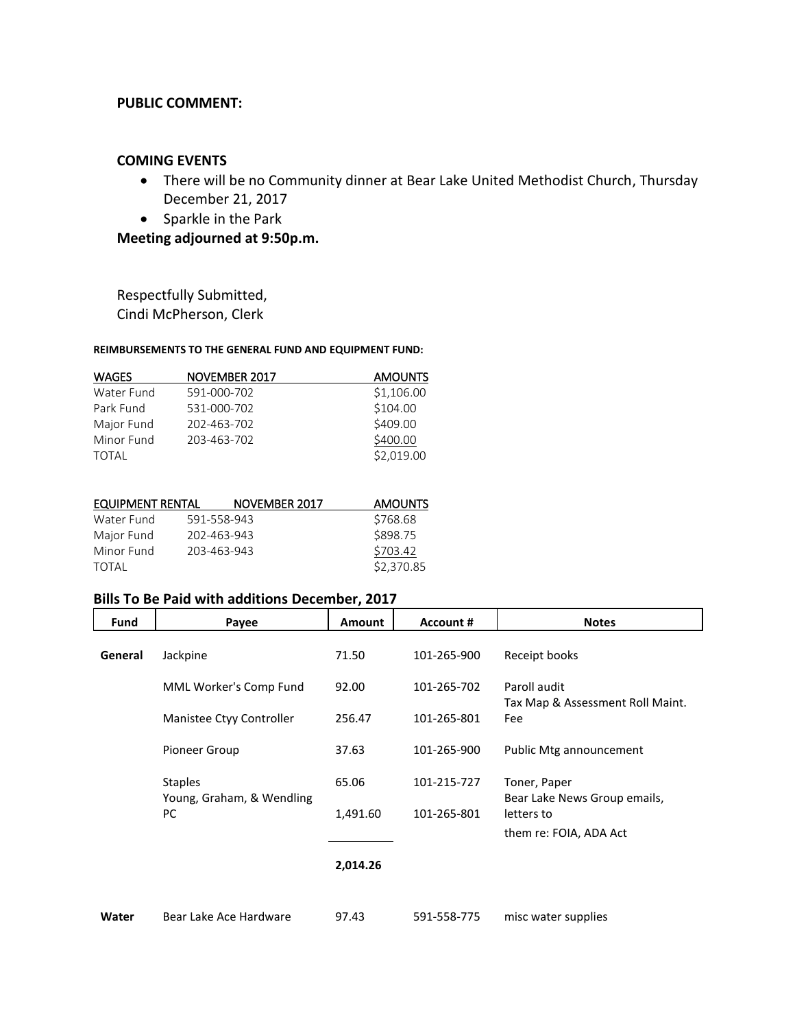#### **PUBLIC COMMENT:**

#### **COMING EVENTS**

- There will be no Community dinner at Bear Lake United Methodist Church, Thursday December 21, 2017
- Sparkle in the Park

**Meeting adjourned at 9:50p.m.**

Respectfully Submitted, Cindi McPherson, Clerk

#### **REIMBURSEMENTS TO THE GENERAL FUND AND EQUIPMENT FUND:**

| <b>WAGES</b> | NOVEMBER 2017 | <b>AMOUNTS</b> |
|--------------|---------------|----------------|
| Water Fund   | 591-000-702   | \$1,106.00     |
| Park Fund    | 531-000-702   | \$104.00       |
| Major Fund   | 202-463-702   | \$409.00       |
| Minor Fund   | 203-463-702   | \$400.00       |
| <b>TOTAL</b> |               | \$2,019.00     |

|                  | <b>AMOUNTS</b>                                             |
|------------------|------------------------------------------------------------|
|                  | \$768.68                                                   |
|                  | \$898.75                                                   |
|                  | \$703.42                                                   |
|                  | \$2,370.85                                                 |
| EQUIPMENT RENTAL | NOVEMBER 2017<br>591-558-943<br>202-463-943<br>203-463-943 |

### **Bills To Be Paid with additions December, 2017**

| Fund           | Payee                     | <b>Amount</b> | <b>Account #</b> | <b>Notes</b>                                               |
|----------------|---------------------------|---------------|------------------|------------------------------------------------------------|
| General        | Jackpine                  | 71.50         | 101-265-900      | Receipt books                                              |
|                | MML Worker's Comp Fund    | 92.00         | 101-265-702      | Paroll audit<br>Tax Map & Assessment Roll Maint.           |
|                | Manistee Ctyy Controller  | 256.47        | 101-265-801      | Fee                                                        |
|                | Pioneer Group             | 37.63         | 101-265-900      | Public Mtg announcement                                    |
| <b>Staples</b> | Young, Graham, & Wendling | 65.06         | 101-215-727      | Toner, Paper<br>Bear Lake News Group emails,<br>letters to |
|                | <b>PC</b>                 | 1,491.60      | 101-265-801      |                                                            |
|                |                           |               |                  | them re: FOIA, ADA Act                                     |
|                |                           | 2,014.26      |                  |                                                            |
| Water          | Bear Lake Ace Hardware    | 97.43         | 591-558-775      | misc water supplies                                        |